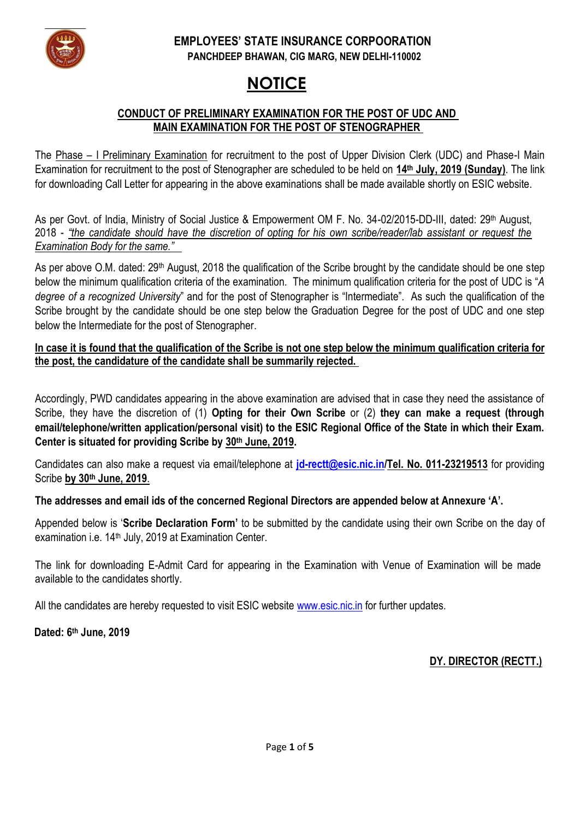

## **EMPLOYEES' STATE INSURANCE CORPOORATION PANCHDEEP BHAWAN, CIG MARG, NEW DELHI-110002**

# **NOTICE**

## **CONDUCT OF PRELIMINARY EXAMINATION FOR THE POST OF UDC AND MAIN EXAMINATION FOR THE POST OF STENOGRAPHER**

The Phase – I Preliminary Examination for recruitment to the post of Upper Division Clerk (UDC) and Phase-I Main Examination for recruitment to the post of Stenographer are scheduled to be held on **14th July, 2019 (Sunday)**. The link for downloading Call Letter for appearing in the above examinations shall be made available shortly on ESIC website.

As per Govt. of India, Ministry of Social Justice & Empowerment OM F. No. 34-02/2015-DD-III, dated: 29<sup>th</sup> August, 2018 - *"the candidate should have the discretion of opting for his own scribe/reader/lab assistant or request the Examination Body for the same."*

As per above O.M. dated: 29<sup>th</sup> August, 2018 the qualification of the Scribe brought by the candidate should be one step below the minimum qualification criteria of the examination. The minimum qualification criteria for the post of UDC is "*A degree of a recognized University*" and for the post of Stenographer is "Intermediate". As such the qualification of the Scribe brought by the candidate should be one step below the Graduation Degree for the post of UDC and one step below the Intermediate for the post of Stenographer.

**In case it is found that the qualification of the Scribe is not one step below the minimum qualification criteria for the post, the candidature of the candidate shall be summarily rejected.** 

Accordingly, PWD candidates appearing in the above examination are advised that in case they need the assistance of Scribe, they have the discretion of (1) **Opting for their Own Scribe** or (2) **they can make a request (through email/telephone/written application/personal visit) to the ESIC Regional Office of the State in which their Exam. Center is situated for providing Scribe by 30th June, 2019.**

Candidates can also make a request via email/telephone at **[jd-rectt@esic.nic.in/](mailto:jd-rectt@esic.nic.in)Tel. No. 011-23219513** for providing Scribe **by 30th June, 2019**.

**The addresses and email ids of the concerned Regional Directors are appended below at Annexure 'A'.** 

Appended below is '**Scribe Declaration Form'** to be submitted by the candidate using their own Scribe on the day of examination i.e. 14<sup>th</sup> July, 2019 at Examination Center.

The link for downloading E-Admit Card for appearing in the Examination with Venue of Examination will be made available to the candidates shortly.

All the candidates are hereby requested to visit ESIC website [www.esic.nic.in](http://www.esic.nic.in/) for further updates.

**Dated: 6 th June, 2019**

## **DY. DIRECTOR (RECTT.)**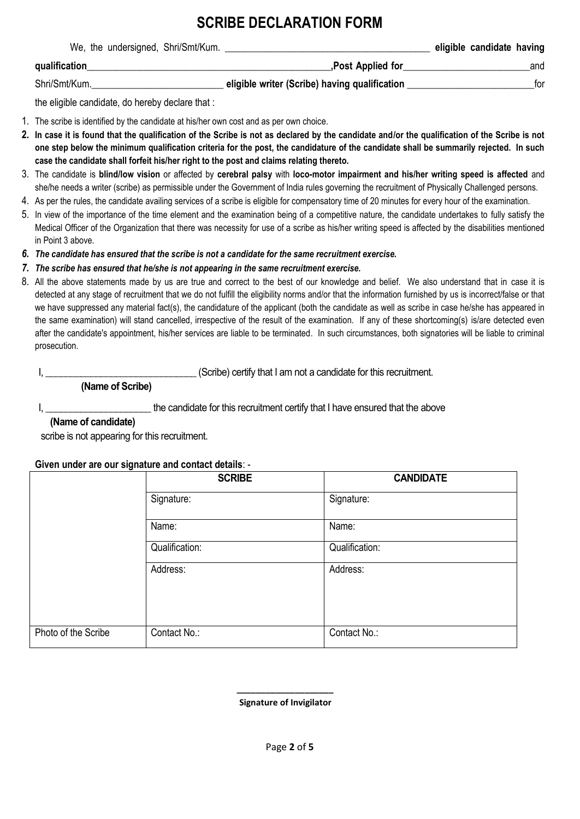## **SCRIBE DECLARATION FORM**

|               | We, the undersigned, Shri/Smt/Kum. |                                               | eligible candidate having |     |
|---------------|------------------------------------|-----------------------------------------------|---------------------------|-----|
| qualification |                                    | Post Applied for                              |                           | and |
| Shri/Smt/Kum. |                                    | eligible writer (Scribe) having qualification |                           | tor |

the eligible candidate, do hereby declare that :

- 1. The scribe is identified by the candidate at his/her own cost and as per own choice.
- **2. In case it is found that the qualification of the Scribe is not as declared by the candidate and/or the qualification of the Scribe is not one step below the minimum qualification criteria for the post, the candidature of the candidate shall be summarily rejected. In such case the candidate shall forfeit his/her right to the post and claims relating thereto.**
- 3. The candidate is **blind/low vision** or affected by **cerebral palsy** with **loco-motor impairment and his/her writing speed is affected** and she/he needs a writer (scribe) as permissible under the Government of India rules governing the recruitment of Physically Challenged persons.
- 4. As per the rules, the candidate availing services of a scribe is eligible for compensatory time of 20 minutes for every hour of the examination.
- 5. In view of the importance of the time element and the examination being of a competitive nature, the candidate undertakes to fully satisfy the Medical Officer of the Organization that there was necessity for use of a scribe as his/her writing speed is affected by the disabilities mentioned in Point 3 above.
- *6. The candidate has ensured that the scribe is not a candidate for the same recruitment exercise.*
- *7. The scribe has ensured that he/she is not appearing in the same recruitment exercise.*
- 8. All the above statements made by us are true and correct to the best of our knowledge and belief. We also understand that in case it is detected at any stage of recruitment that we do not fulfill the eligibility norms and/or that the information furnished by us is incorrect/false or that we have suppressed any material fact(s), the candidature of the applicant (both the candidate as well as scribe in case he/she has appeared in the same examination) will stand cancelled, irrespective of the result of the examination. If any of these shortcoming(s) is/are detected even after the candidate's appointment, his/her services are liable to be terminated. In such circumstances, both signatories will be liable to criminal prosecution.

I, \_\_\_\_\_\_\_\_\_\_\_\_\_\_\_\_\_\_\_\_\_\_\_\_\_\_\_\_\_\_ (Scribe) certify that I am not a candidate for this recruitment.

 **(Name of Scribe)**

I, \_\_\_\_\_\_\_\_\_\_\_\_\_\_\_\_\_\_\_\_\_\_\_\_\_\_\_the candidate for this recruitment certify that I have ensured that the above

### **(Name of candidate)**

scribe is not appearing for this recruitment.

### **Given under are our signature and contact details**: -

|                     | <b>SCRIBE</b>  | <b>CANDIDATE</b> |
|---------------------|----------------|------------------|
|                     | Signature:     | Signature:       |
|                     | Name:          | Name:            |
|                     | Qualification: | Qualification:   |
|                     | Address:       | Address:         |
| Photo of the Scribe | Contact No.:   | Contact No.:     |

 **Signature of Invigilator**

 **\_\_\_\_\_\_\_\_\_\_\_\_\_\_\_\_\_\_\_\_**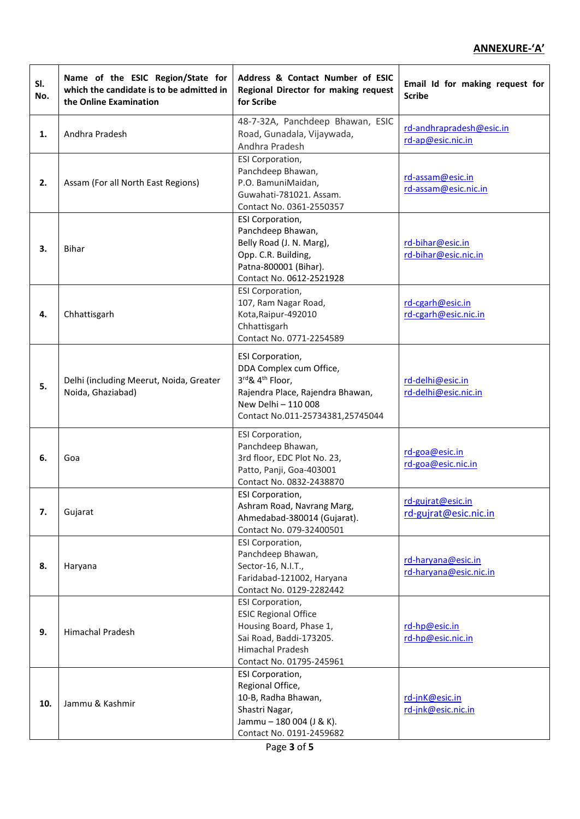### **ANNEXURE-'A'**

| SI.<br>No. | Name of the ESIC Region/State for<br>which the candidate is to be admitted in<br>the Online Examination | Address & Contact Number of ESIC<br>Regional Director for making request<br>for Scribe                                                                                    | Email Id for making request for<br><b>Scribe</b> |
|------------|---------------------------------------------------------------------------------------------------------|---------------------------------------------------------------------------------------------------------------------------------------------------------------------------|--------------------------------------------------|
| 1.         | Andhra Pradesh                                                                                          | 48-7-32A, Panchdeep Bhawan, ESIC<br>Road, Gunadala, Vijaywada,<br>Andhra Pradesh                                                                                          | rd-andhrapradesh@esic.in<br>rd-ap@esic.nic.in    |
| 2.         | Assam (For all North East Regions)                                                                      | ESI Corporation,<br>Panchdeep Bhawan,<br>P.O. BamuniMaidan,<br>Guwahati-781021. Assam.<br>Contact No. 0361-2550357                                                        | rd-assam@esic.in<br>rd-assam@esic.nic.in         |
| 3.         | <b>Bihar</b>                                                                                            | <b>ESI Corporation,</b><br>Panchdeep Bhawan,<br>Belly Road (J. N. Marg),<br>Opp. C.R. Building,<br>Patna-800001 (Bihar).<br>Contact No. 0612-2521928                      | rd-bihar@esic.in<br>rd-bihar@esic.nic.in         |
| 4.         | Chhattisgarh                                                                                            | ESI Corporation,<br>107, Ram Nagar Road,<br>Kota, Raipur-492010<br>Chhattisgarh<br>Contact No. 0771-2254589                                                               | rd-cgarh@esic.in<br>rd-cgarh@esic.nic.in         |
| 5.         | Delhi (including Meerut, Noida, Greater<br>Noida, Ghaziabad)                                            | ESI Corporation,<br>DDA Complex cum Office,<br>3rd& 4 <sup>th</sup> Floor,<br>Rajendra Place, Rajendra Bhawan,<br>New Delhi - 110 008<br>Contact No.011-25734381,25745044 | rd-delhi@esic.in<br>rd-delhi@esic.nic.in         |
| 6.         | Goa                                                                                                     | ESI Corporation,<br>Panchdeep Bhawan,<br>3rd floor, EDC Plot No. 23,<br>Patto, Panji, Goa-403001<br>Contact No. 0832-2438870                                              | rd-goa@esic.in<br>rd-goa@esic.nic.in             |
| 7.         | Gujarat                                                                                                 | ESI Corporation,<br>Ashram Road, Navrang Marg,<br>Ahmedabad-380014 (Gujarat).<br>Contact No. 079-32400501                                                                 | rd-gujrat@esic.in<br>rd-gujrat@esic.nic.in       |
| 8.         | Haryana                                                                                                 | ESI Corporation,<br>Panchdeep Bhawan,<br>Sector-16, N.I.T.,<br>Faridabad-121002, Haryana<br>Contact No. 0129-2282442                                                      | rd-haryana@esic.in<br>rd-haryana@esic.nic.in     |
| 9.         | <b>Himachal Pradesh</b>                                                                                 | ESI Corporation,<br><b>ESIC Regional Office</b><br>Housing Board, Phase 1,<br>Sai Road, Baddi-173205.<br>Himachal Pradesh<br>Contact No. 01795-245961                     | rd-hp@esic.in<br>rd-hp@esic.nic.in               |
| 10.        | Jammu & Kashmir                                                                                         | ESI Corporation,<br>Regional Office,<br>10-B, Radha Bhawan,<br>Shastri Nagar,<br>Jammu - 180 004 (J & K).<br>Contact No. 0191-2459682                                     | rd-jnK@esic.in<br>rd-jnk@esic.nic.in             |

Page **3** of **5**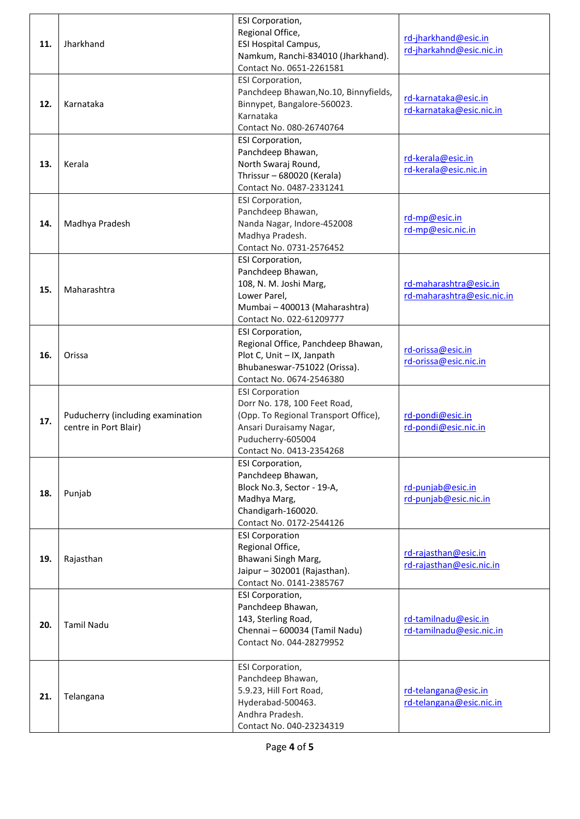|     |                                   | ESI Corporation,                                       |                            |
|-----|-----------------------------------|--------------------------------------------------------|----------------------------|
| 11. | Jharkhand                         | Regional Office,                                       | rd-jharkhand@esic.in       |
|     |                                   | ESI Hospital Campus,                                   | rd-jharkahnd@esic.nic.in   |
|     |                                   | Namkum, Ranchi-834010 (Jharkhand).                     |                            |
|     |                                   | Contact No. 0651-2261581                               |                            |
|     |                                   | ESI Corporation,                                       |                            |
|     |                                   | Panchdeep Bhawan, No.10, Binnyfields,                  | rd-karnataka@esic.in       |
| 12. | Karnataka                         | Binnypet, Bangalore-560023.                            | rd-karnataka@esic.nic.in   |
|     |                                   | Karnataka                                              |                            |
|     |                                   | Contact No. 080-26740764                               |                            |
|     |                                   | <b>ESI Corporation,</b>                                |                            |
|     |                                   | Panchdeep Bhawan,                                      | rd-kerala@esic.in          |
| 13. | Kerala                            | North Swaraj Round,                                    | rd-kerala@esic.nic.in      |
|     |                                   | Thrissur - 680020 (Kerala)                             |                            |
|     |                                   | Contact No. 0487-2331241                               |                            |
|     |                                   | ESI Corporation,                                       |                            |
|     |                                   | Panchdeep Bhawan,                                      | rd-mp@esic.in              |
| 14. | Madhya Pradesh                    | Nanda Nagar, Indore-452008                             | rd-mp@esic.nic.in          |
|     |                                   | Madhya Pradesh.                                        |                            |
|     |                                   | Contact No. 0731-2576452                               |                            |
|     |                                   | <b>ESI Corporation,</b>                                |                            |
|     |                                   | Panchdeep Bhawan,                                      |                            |
| 15. | Maharashtra                       | 108, N. M. Joshi Marg,                                 | rd-maharashtra@esic.in     |
|     |                                   | Lower Parel,                                           | rd-maharashtra@esic.nic.in |
|     |                                   | Mumbai - 400013 (Maharashtra)                          |                            |
|     |                                   | Contact No. 022-61209777                               |                            |
|     |                                   | ESI Corporation,                                       |                            |
|     |                                   | Regional Office, Panchdeep Bhawan,                     | rd-orissa@esic.in          |
| 16. | Orissa                            | Plot C, Unit - IX, Janpath                             | rd-orissa@esic.nic.in      |
|     |                                   | Bhubaneswar-751022 (Orissa).                           |                            |
|     |                                   | Contact No. 0674-2546380                               |                            |
|     |                                   | <b>ESI Corporation</b><br>Dorr No. 178, 100 Feet Road, |                            |
|     | Puducherry (including examination | (Opp. To Regional Transport Office),                   | rd-pondi@esic.in           |
| 17. | centre in Port Blair)             | Ansari Duraisamy Nagar,                                | rd-pondi@esic.nic.in       |
|     |                                   | Puducherry-605004                                      |                            |
|     |                                   | Contact No. 0413-2354268                               |                            |
|     |                                   | <b>ESI Corporation,</b>                                |                            |
|     | Punjab                            | Panchdeep Bhawan,                                      |                            |
|     |                                   | Block No.3, Sector - 19-A,                             | rd-punjab@esic.in          |
| 18. |                                   | Madhya Marg,                                           | rd-punjab@esic.nic.in      |
|     |                                   | Chandigarh-160020.                                     |                            |
|     |                                   | Contact No. 0172-2544126                               |                            |
|     |                                   | <b>ESI Corporation</b>                                 |                            |
|     |                                   | Regional Office,                                       | rd-rajasthan@esic.in       |
| 19. | Rajasthan                         | Bhawani Singh Marg,                                    | rd-rajasthan@esic.nic.in   |
|     |                                   | Jaipur - 302001 (Rajasthan).                           |                            |
|     |                                   | Contact No. 0141-2385767                               |                            |
|     |                                   | <b>ESI Corporation,</b>                                |                            |
|     | <b>Tamil Nadu</b>                 | Panchdeep Bhawan,                                      |                            |
| 20. |                                   | 143, Sterling Road,                                    | rd-tamilnadu@esic.in       |
|     |                                   | Chennai - 600034 (Tamil Nadu)                          | rd-tamilnadu@esic.nic.in   |
|     |                                   | Contact No. 044-28279952                               |                            |
|     |                                   | ESI Corporation,                                       |                            |
|     |                                   | Panchdeep Bhawan,                                      |                            |
|     | Telangana                         | 5.9.23, Hill Fort Road,                                | rd-telangana@esic.in       |
| 21. |                                   | Hyderabad-500463.                                      | rd-telangana@esic.nic.in   |
|     |                                   | Andhra Pradesh.                                        |                            |
|     |                                   | Contact No. 040-23234319                               |                            |
|     |                                   |                                                        |                            |